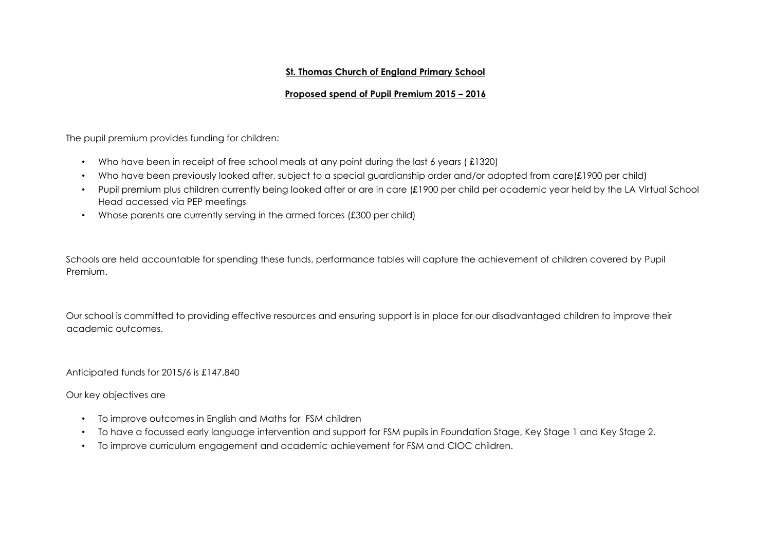#### **St. Thomas Church of England Primary School**

## **Proposed spend of Pupil Premium 2015 – 2016**

The pupil premium provides funding for children:

- Who have been in receipt of free school meals at any point during the last 6 years (£1320)
- Who have been previously looked after, subject to a special guardianship order and/or adopted from care(£1900 per child)
- Pupil premium plus children currently being looked after or are in care (£1900 per child per academic year held by the LA Virtual School Head accessed via PEP meetings
- Whose parents are currently serving in the armed forces (£300 per child)

Schools are held accountable for spending these funds, performance tables will capture the achievement of children covered by Pupil Premium.

Our school is committed to providing effective resources and ensuring support is in place for our disadvantaged children to improve their academic outcomes.

Anticipated funds for 2015/6 is £147,840

Our key objectives are

- To improve outcomes in English and Maths for FSM children
- To have a focussed early language intervention and support for FSM pupils in Foundation Stage, Key Stage 1 and Key Stage 2.
- To improve curriculum engagement and academic achievement for FSM and CIOC children.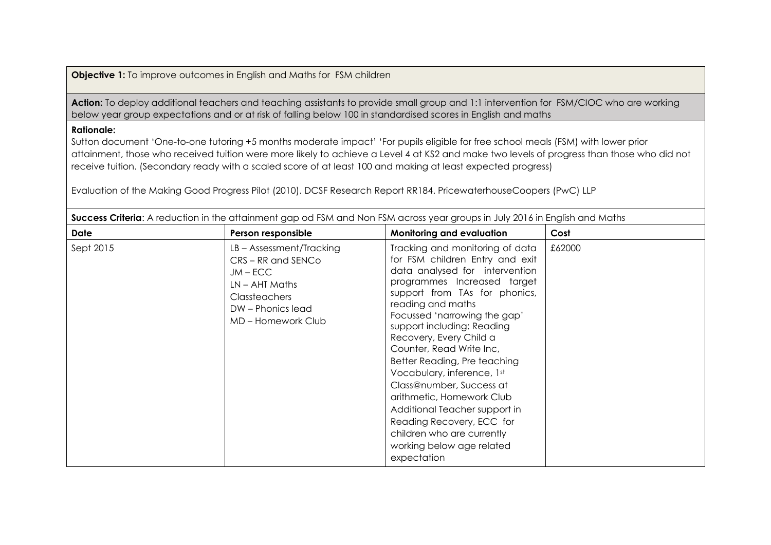**Objective 1:** To improve outcomes in English and Maths for FSM children

Action: To deploy additional teachers and teaching assistants to provide small group and 1:1 intervention for FSM/CIOC who are working below year group expectations and or at risk of falling below 100 in standardised scores in English and maths

## **Rationale:**

Sutton document 'One-to-one tutoring +5 months moderate impact' 'For pupils eligible for free school meals (FSM) with lower prior attainment, those who received tuition were more likely to achieve a Level 4 at KS2 and make two levels of progress than those who did not receive tuition. (Secondary ready with a scaled score of at least 100 and making at least expected progress)

Evaluation of the Making Good Progress Pilot (2010). DCSF Research Report RR184. PricewaterhouseCoopers (PwC) LLP

| <b>30CCESS CHIENU</b> . A TEQUOLIDITILI ILE QHQIHHIGHI QQD OQ TSIM QHQ IYOH TSIM QOLOSS YEQI QHOUDS IH JUIY ZUTO IH LHQIISH QHQ MQHIS |                                                                                                                                                   |                                                                                                                                                                                                                                                                                                                                                                                                                                                                                                                                                                               |        |
|---------------------------------------------------------------------------------------------------------------------------------------|---------------------------------------------------------------------------------------------------------------------------------------------------|-------------------------------------------------------------------------------------------------------------------------------------------------------------------------------------------------------------------------------------------------------------------------------------------------------------------------------------------------------------------------------------------------------------------------------------------------------------------------------------------------------------------------------------------------------------------------------|--------|
| Date                                                                                                                                  | Person responsible                                                                                                                                | <b>Monitoring and evaluation</b>                                                                                                                                                                                                                                                                                                                                                                                                                                                                                                                                              | Cost   |
| Sept 2015                                                                                                                             | LB - Assessment/Tracking<br>CRS-RR and SENCo<br>$JM - ECC$<br>$LN - AHI$ Maths<br><b>Classteachers</b><br>DW - Phonics lead<br>MD – Homework Club | Tracking and monitoring of data<br>for FSM children Entry and exit<br>data analysed for intervention<br>programmes Increased target<br>support from TAs for phonics,<br>reading and maths<br>Focussed 'narrowing the gap'<br>support including: Reading<br>Recovery, Every Child a<br>Counter, Read Write Inc,<br>Better Reading, Pre teaching<br>Vocabulary, inference, 1st<br>Class@number, Success at<br>arithmetic, Homework Club<br>Additional Teacher support in<br>Reading Recovery, ECC for<br>children who are currently<br>working below age related<br>expectation | £62000 |

**Success Criteria**: A reduction in the attainment gap od FSM and Non FSM across year groups in July 2016 in English and Maths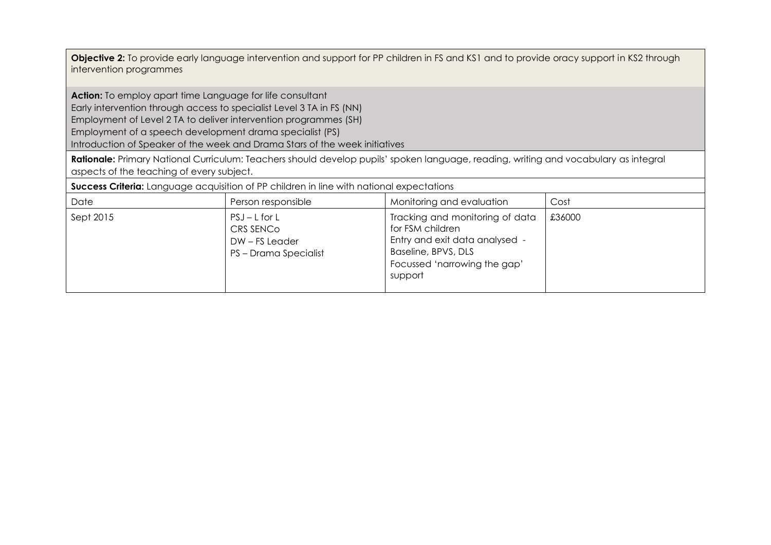**Objective 2:** To provide early language intervention and support for PP children in FS and KS1 and to provide oracy support in KS2 through intervention programmes

**Action:** To employ apart time Language for life consultant

Early intervention through access to specialist Level 3 TA in FS (NN)

Employment of Level 2 TA to deliver intervention programmes (SH)

Employment of a speech development drama specialist (PS)

Introduction of Speaker of the week and Drama Stars of the week initiatives

**Rationale:** Primary National Curriculum: Teachers should develop pupils' spoken language, reading, writing and vocabulary as integral aspects of the teaching of every subject.

**Success Criteria:** Language acquisition of PP children in line with national expectations

| Date      | Person responsible                                                    | Monitoring and evaluation                                                                                                                               | Cost   |
|-----------|-----------------------------------------------------------------------|---------------------------------------------------------------------------------------------------------------------------------------------------------|--------|
| Sept 2015 | $PSJ - L$ for L<br>CRS SENCO<br>DW-FS Leader<br>PS - Drama Specialist | Tracking and monitoring of data<br>for FSM children<br>Entry and exit data analysed -<br>Baseline, BPVS, DLS<br>Focussed 'narrowing the gap'<br>support | £36000 |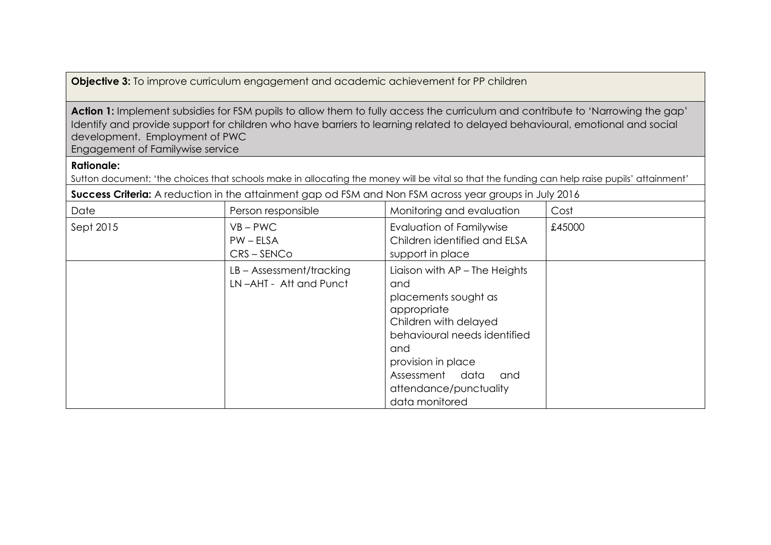**Objective 3:** To improve curriculum engagement and academic achievement for PP children

Action 1: Implement subsidies for FSM pupils to allow them to fully access the curriculum and contribute to 'Narrowing the gap' Identify and provide support for children who have barriers to learning related to delayed behavioural, emotional and social development. Employment of PWC Engagement of Familywise service

# **Rationale:**

Sutton document: 'the choices that schools make in allocating the money will be vital so that the funding can help raise pupils' attainment'

**Success Criteria:** A reduction in the attainment gap od FSM and Non FSM across year groups in July 2016

| Date      | Person responsible                                   | Monitoring and evaluation                                                                                                                                                                                                               | Cost   |
|-----------|------------------------------------------------------|-----------------------------------------------------------------------------------------------------------------------------------------------------------------------------------------------------------------------------------------|--------|
| Sept 2015 | $VB - PWC$<br>$PW - ELSA$<br>$CRS - SENCo$           | <b>Evaluation of Familywise</b><br>Children identified and ELSA<br>support in place                                                                                                                                                     | £45000 |
|           | $LB - Assessment/tracting$<br>LN-AHT - Att and Punct | Liaison with AP - The Heights<br>and<br>placements sought as<br>appropriate<br>Children with delayed<br>behavioural needs identified<br>and<br>provision in place<br>Assessment data<br>and<br>attendance/punctuality<br>data monitored |        |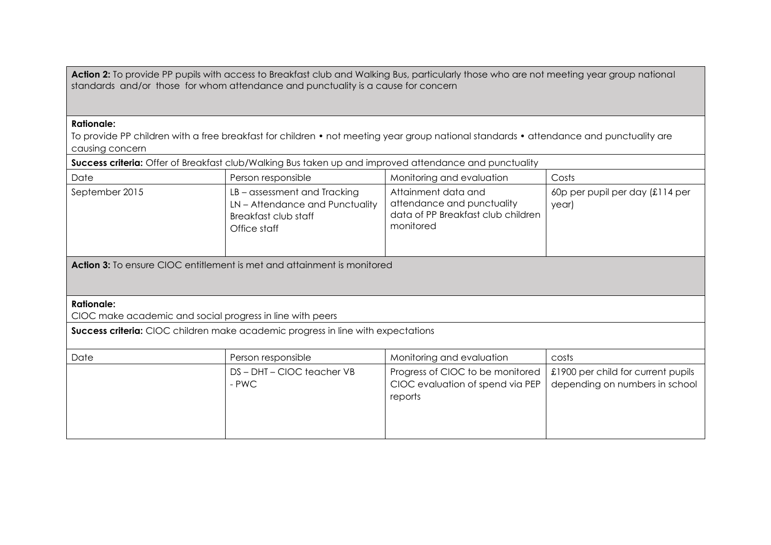Action 2: To provide PP pupils with access to Breakfast club and Walking Bus, particularly those who are not meeting year group national standards and/or those for whom attendance and punctuality is a cause for concern

#### **Rationale:**

To provide PP children with a free breakfast for children • not meeting year group national standards • attendance and punctuality are causing concern

| Success criteria: Offer of Breakfast club/Walking Bus taken up and improved attendance and punctuality |                                                                                                     |                                                                                                      |                                                                      |
|--------------------------------------------------------------------------------------------------------|-----------------------------------------------------------------------------------------------------|------------------------------------------------------------------------------------------------------|----------------------------------------------------------------------|
| Date                                                                                                   | Person responsible                                                                                  | Monitoring and evaluation                                                                            | Costs                                                                |
| September 2015                                                                                         | LB-assessment and Tracking<br>LN-Attendance and Punctuality<br>Breakfast club staff<br>Office staff | Attainment data and<br>attendance and punctuality<br>data of PP Breakfast club children<br>monitored | 60p per pupil per day (£114 per<br>year)                             |
| <b>Action 3:</b> To ensure CIOC entitlement is met and attainment is monitored                         |                                                                                                     |                                                                                                      |                                                                      |
| <b>Rationale:</b><br>CIOC make academic and social progress in line with peers                         |                                                                                                     |                                                                                                      |                                                                      |
| Success criteria: CIOC children make academic progress in line with expectations                       |                                                                                                     |                                                                                                      |                                                                      |
| Date                                                                                                   | Person responsible                                                                                  | Monitoring and evaluation                                                                            | costs                                                                |
|                                                                                                        | DS-DHT-CIOC teacher VB<br>- PWC                                                                     | Progress of CIOC to be monitored<br>CIOC evaluation of spend via PEP<br>reports                      | £1900 per child for current pupils<br>depending on numbers in school |